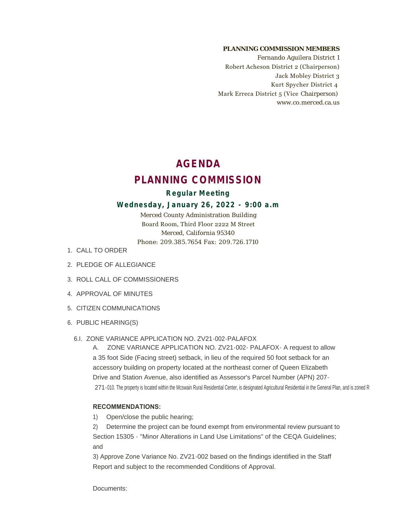#### **PLANNING COMMISSION MEMBERS**

Fernando Aguilera District 1 Robert Acheson District 2 (Chairperson) Jack Mobley District 3 Kurt Spycher District 4 Mark Erreca District 5 (Vice Chairperson) www.co.merced.ca.us

# **AGENDA PLANNING COMMISSION**

# **Regular Meeting**

### **Wednesday, January 26, 2022 - 9:00 a.m**

Merced County Administration Building Board Room, Third Floor 2222 M Street Merced, California 95340 Phone: 209.385.7654 Fax: 209.726.1710

- 1. CALL TO ORDER
- 2. PLEDGE OF ALLEGIANCE
- 3. ROLL CALL OF COMMISSIONERS
- 4. APPROVAL OF MINUTES
- 5. CITIZEN COMMUNICATIONS
- 6. PUBLIC HEARING(S)
	- 6.I. ZONE VARIANCE APPLICATION NO. ZV21-002-PALAFOX

A. ZONE VARIANCE APPLICATION NO. ZV21-002- PALAFOX- A request to allow a 35 foot Side (Facing street) setback, in lieu of the required 50 foot setback for an accessory building on property located at the northeast corner of Queen Elizabeth Drive and Station Avenue, also identified as Assessor's Parcel Number (APN) 207- 271-010. The property is located within the Mcswain Rural Residential Center, is designated Agricultural Residential in the General Plan, and is zoned R

#### **RECOMMENDATIONS:**

1) Open/close the public hearing;

2) Determine the project can be found exempt from environmental review pursuant to Section 15305 - "Minor Alterations in Land Use Limitations" of the CEQA Guidelines; and

3) Approve Zone Variance No. ZV21-002 based on the findings identified in the Staff Report and subject to the recommended Conditions of Approval.

Documents: